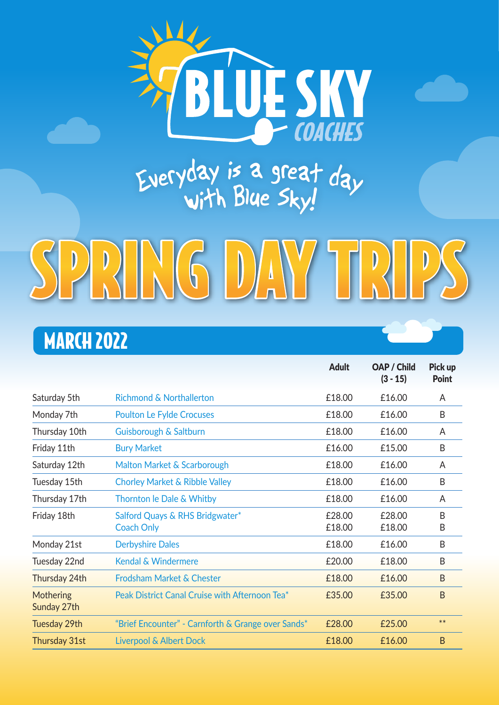

## Everyday is a great  $d$ ay<br>with Blue Sky!

# SPRING DAY TRIPS

#### MARCH 2022

|                          |                                                      | Adult            | OAP / Child<br>$(3 - 15)$ | Pick up<br>Point  |
|--------------------------|------------------------------------------------------|------------------|---------------------------|-------------------|
| Saturday 5th             | <b>Richmond &amp; Northallerton</b>                  | £18.00           | £16.00                    | A                 |
| Monday 7th               | <b>Poulton Le Fylde Crocuses</b>                     | £18.00           | £16.00                    | B                 |
| Thursday 10th            | Guisborough & Saltburn                               | £18.00           | £16.00                    | A                 |
| Friday 11th              | <b>Bury Market</b>                                   | £16.00           | £15.00                    | B                 |
| Saturday 12th            | Malton Market & Scarborough                          | £18.00           | £16.00                    | A                 |
| Tuesday 15th             | <b>Chorley Market &amp; Ribble Valley</b>            | £18.00           | £16.00                    | B                 |
| Thursday 17th            | Thornton le Dale & Whitby                            | £18.00           | £16.00                    | A                 |
| Friday 18th              | Salford Quays & RHS Bridgwater*<br><b>Coach Only</b> | £28.00<br>£18.00 | £28.00<br>£18.00          | <sub>R</sub><br>B |
| Monday 21st              | <b>Derbyshire Dales</b>                              | £18.00           | £16.00                    | B                 |
| Tuesday 22nd             | Kendal & Windermere                                  | £20.00           | £18.00                    | B                 |
| Thursday 24th            | <b>Frodsham Market &amp; Chester</b>                 | £18.00           | £16.00                    | B                 |
| Mothering<br>Sunday 27th | Peak District Canal Cruise with Afternoon Tea*       | £35.00           | £35.00                    | <sub>B</sub>      |
| Tuesday 29th             | "Brief Encounter" - Carnforth & Grange over Sands*   | £28.00           | £25.00                    | $***$             |
| Thursday 31st            | <b>Liverpool &amp; Albert Dock</b>                   | £18.00           | £16.00                    | <sub>B</sub>      |